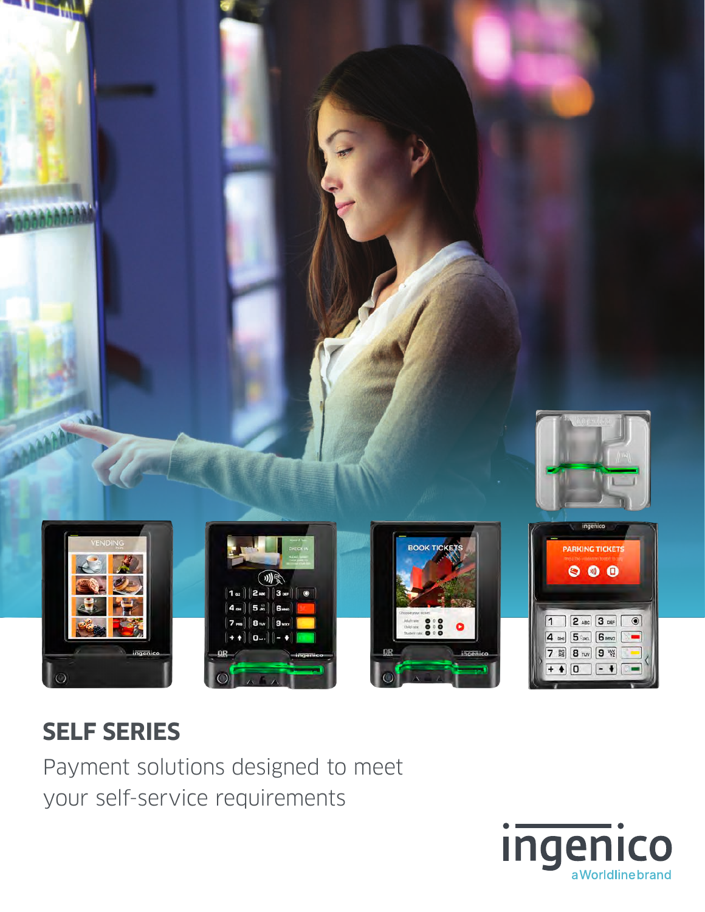

## **SELF SERIES**

Payment solutions designed to meet your self-service requirements

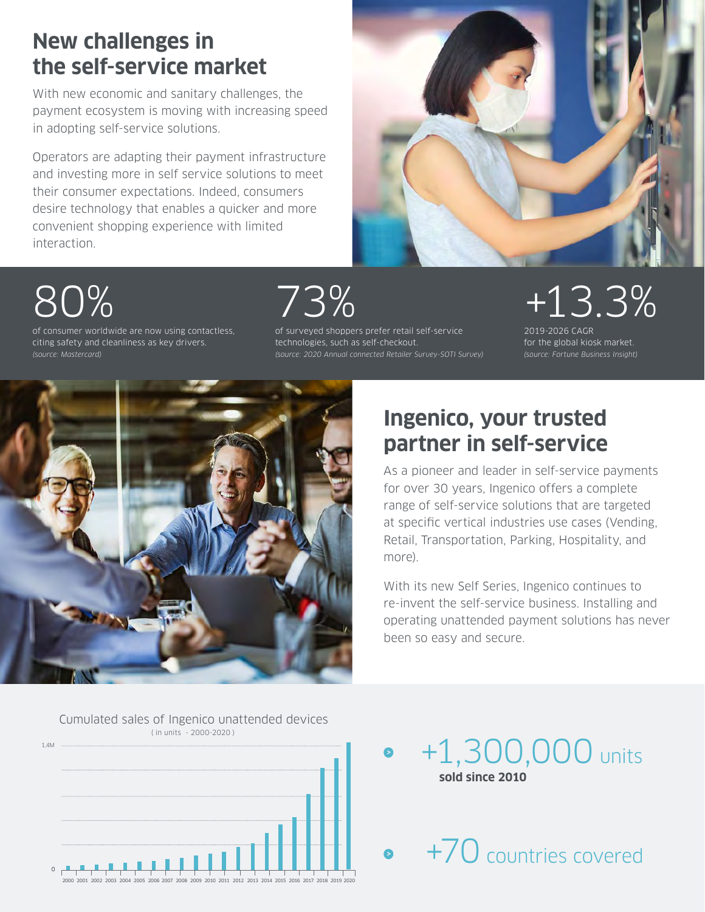## **New challenges in the self-service market**

With new economic and sanitary challenges, the payment ecosystem is moving with increasing speed in adopting self-service solutions.

Operators are adapting their payment infrastructure and investing more in self service solutions to meet their consumer expectations. Indeed, consumers desire technology that enables a quicker and more convenient shopping experience with limited interaction.



# 80%

of consumer worldwide are now using contactless, citing safety and cleanliness as key drivers. *(source: Mastercard)*

73%

of surveyed shoppers prefer retail self-service technologies, such as self-checkout.

# +13.3%

2019-2026 CAGR for the global kiosk market. *(source: Fortune Business Insight)*



## **Ingenico, your trusted partner in self-service**

As a pioneer and leader in self-service payments for over 30 years, Ingenico offers a complete range of self-service solutions that are targeted at specific vertical industries use cases (Vending, Retail, Transportation, Parking, Hospitality, and more).

With its new Self Series, Ingenico continues to re-invent the self-service business. Installing and operating unattended payment solutions has never been so easy and secure.



+1,300,000 units **sold since 2010** 

+70 countries covered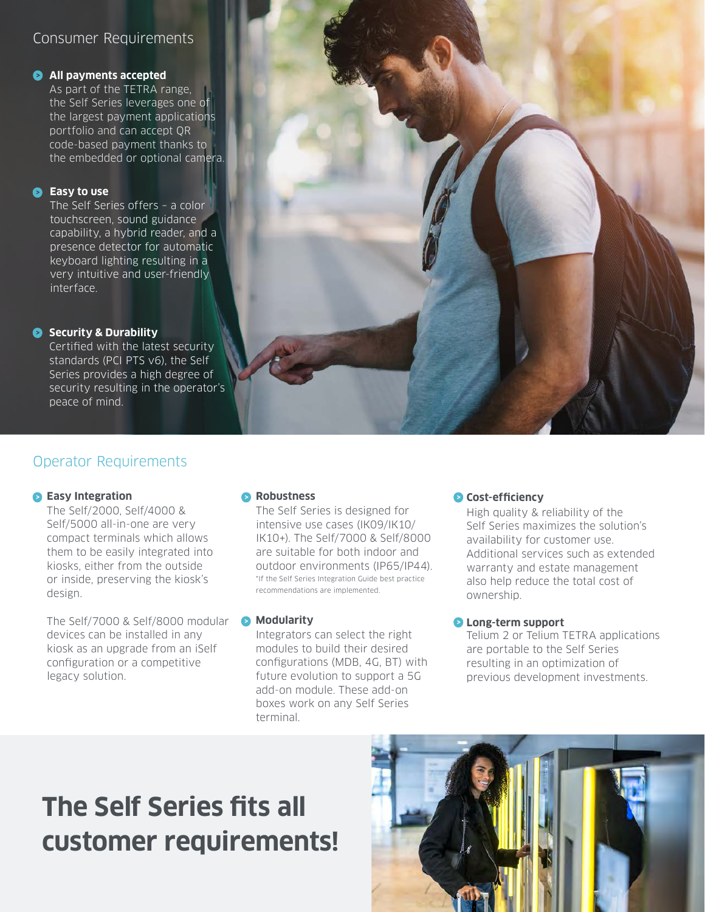### Consumer Requirements

### **All payments accepted**

As part of the TETRA range, the Self Series leverages one of the largest payment applications portfolio and can accept QR code-based payment thanks to the embedded or optional camera.

### **Easy to use**

The Self Series offers – a color touchscreen, sound guidance capability, a hybrid reader, and a presence detector for automatic keyboard lighting resulting in a very intuitive and user-friendly interface.

### **Security & Durability**

Certified with the latest security standards (PCI PTS v6), the Self Series provides a high degree of security resulting in the operator's peace of mind.

### Operator Requirements

### **B** Easy Integration

The Self/2000, Self/4000 & Self/5000 all-in-one are very compact terminals which allows them to be easily integrated into kiosks, either from the outside or inside, preserving the kiosk's design.

The Self/7000 & Self/8000 modular **Modularity** devices can be installed in any kiosk as an upgrade from an iSelf configuration or a competitive legacy solution.

### **Robustness**

The Self Series is designed for intensive use cases (IK09/IK10/ IK10+). The Self/7000 & Self/8000 are suitable for both indoor and outdoor environments (IP65/IP44). \*If the Self Series Integration Guide best practice recommendations are implemented.

Integrators can select the right modules to build their desired configurations (MDB, 4G, BT) with future evolution to support a 5G add-on module. These add-on boxes work on any Self Series terminal.

### **Cost-efficiency**

High quality & reliability of the Self Series maximizes the solution's availability for customer use. Additional services such as extended warranty and estate management also help reduce the total cost of ownership.

### **Long-term support**

Telium 2 or Telium TETRA applications are portable to the Self Series resulting in an optimization of previous development investments.

## **The Self Series fits all customer requirements!**

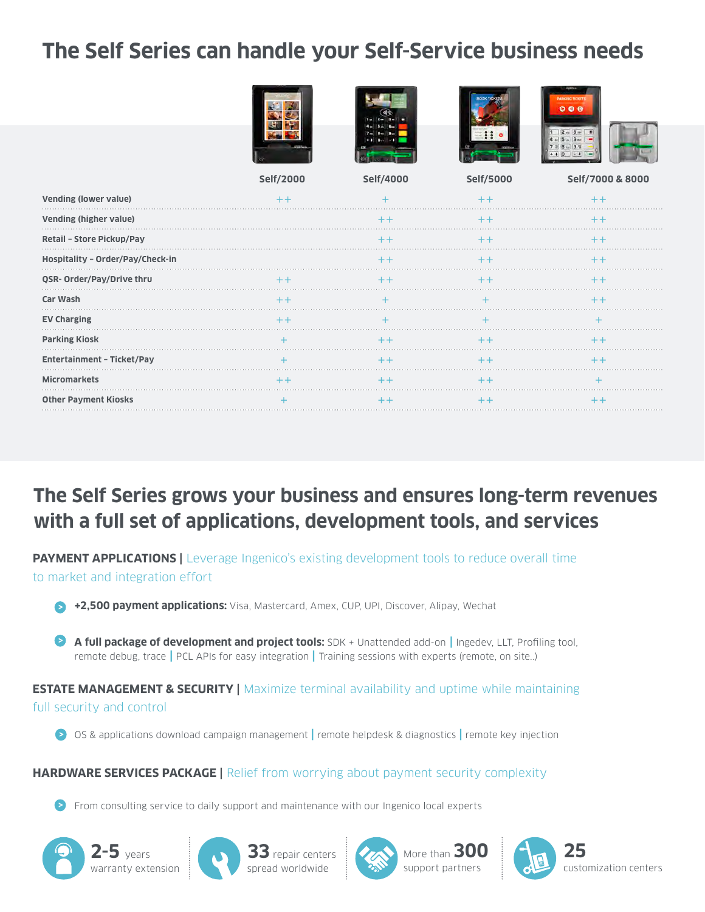## **The Self Series can handle your Self-Service business needs**

|                                   |           |           | <b>OK TIEKS</b> | 00 A             |
|-----------------------------------|-----------|-----------|-----------------|------------------|
|                                   |           |           |                 |                  |
|                                   | Self/2000 | Self/4000 | Self/5000       | Self/7000 & 8000 |
| <b>Vending (lower value)</b>      |           |           |                 |                  |
| Vending (higher value)            |           | $++$      | $++$            | $+ +$            |
| Retail - Store Pickup/Pay         |           | $++$      | $^+$            | $^+$             |
| Hospitality - Order/Pay/Check-in  |           | $++$      | $++$            | $++$             |
| QSR- Order/Pay/Drive thru         | $++$      | $+ +$     | $^{++}$         |                  |
| Car Wash                          | $++$      |           |                 |                  |
| <b>EV Charging</b>                | $++$      |           |                 |                  |
| <b>Parking Kiosk</b>              | $+$       | $+ +$     | $+ +$           | $+ +$            |
| <b>Entertainment - Ticket/Pay</b> |           | $+ +$     | $++$            |                  |
| <b>Micromarkets</b>               | $+ +$     | $^+$      | $^{++}$         |                  |
| <b>Other Payment Kiosks</b>       | $^{+}$    | $++$      | $++$            | $^{\mathrm{+}}$  |

## **The Self Series grows your business and ensures long-term revenues with a full set of applications, development tools, and services**

**PAYMENT APPLICATIONS** | Leverage Ingenico's existing development tools to reduce overall time to market and integration effort

**+2,500 payment applications:** Visa, Mastercard, Amex, CUP, UPI, Discover, Alipay, Wechat

**A full package of development and project tools:** SDK + Unattended add-on **|** Ingedev, LLT, Profiling tool, remote debug, trace **|** PCL APIs for easy integration **|** Training sessions with experts (remote, on site..)

**ESTATE MANAGEMENT & SECURITY | Maximize terminal availability and uptime while maintaining** full security and control

OS & applications download campaign management **|** remote helpdesk & diagnostics **|** remote key injection

### **HARDWARE SERVICES PACKAGE |** Relief from worrying about payment security complexity

From consulting service to daily support and maintenance with our Ingenico local experts









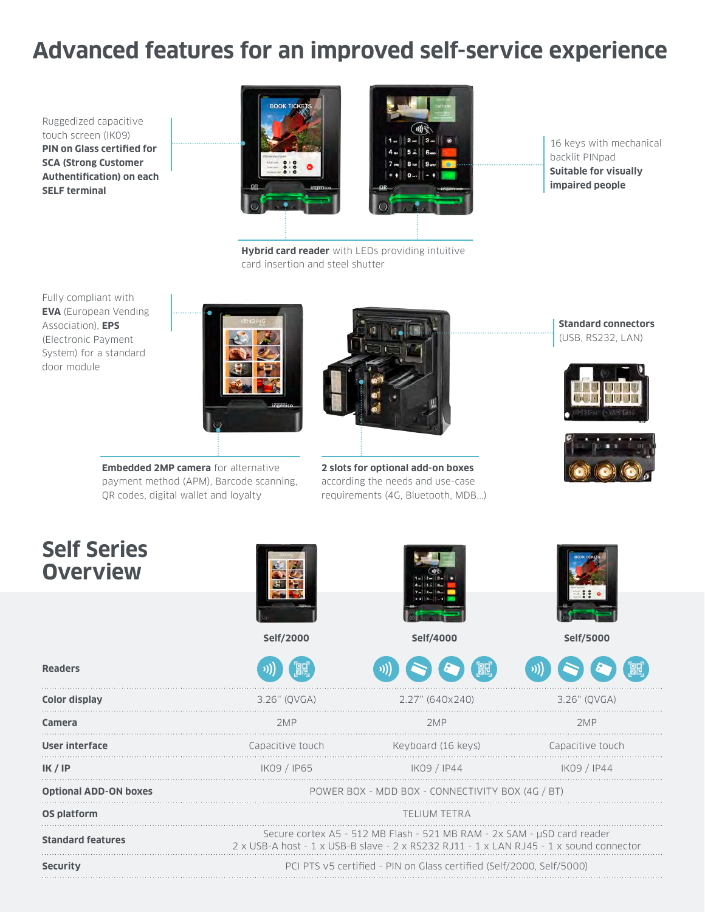## **Advanced features for an improved self-service experience**

Ruggedized capacitive touch screen (IK09) **PIN on Glass certified for SCA (Strong Customer Authentification) on each SELF terminal**



**Hybrid card reader** with LEDs providing intuitive

card insertion and steel shutter

16 keys with mechanical backlit PINpad **Suitable for visually impaired people**

Fully compliant with **EVA** (European Vending Association), **EPS**  (Electronic Payment System) for a standard door module



**Embedded 2MP camera** for alternative payment method (APM), Barcode scanning, QR codes, digital wallet and loyalty



**2 slots for optional add-on boxes** according the needs and use-case requirements (4G, Bluetooth, MDB...)

**Standard connectors** (USB, RS232, LAN)





. . .

. . .

. . .

. . .

. . .

 $\ddotsc$ 

. . .

. . .

## **Self S Over**

| <b>Self Series</b><br><b>Overview</b> |                                                                                                                                                                   | e a il insuli il con |                  |  |
|---------------------------------------|-------------------------------------------------------------------------------------------------------------------------------------------------------------------|----------------------|------------------|--|
|                                       | Self/2000                                                                                                                                                         | Self/4000            | Self/5000        |  |
| <b>Readers</b>                        | 體                                                                                                                                                                 | 飍                    |                  |  |
| Color display                         | 3.26" (QVGA)                                                                                                                                                      | 2.27" (640x240)      | 3.26" (OVGA)     |  |
| Camera                                | 2MP                                                                                                                                                               | 2MP                  | 2MP              |  |
| <b>User interface</b>                 | Capacitive touch                                                                                                                                                  | Keyboard (16 keys)   | Capacitive touch |  |
| IK / IP                               | IK09 / IP65                                                                                                                                                       | IK09 / IP44          | IK09 / IP44      |  |
| <b>Optional ADD-ON boxes</b>          | POWER BOX - MDD BOX - CONNECTIVITY BOX (4G / BT)                                                                                                                  |                      |                  |  |
| OS platform                           | <b>TELIUM TETRA</b>                                                                                                                                               |                      |                  |  |
| <b>Standard features</b>              | Secure cortex A5 - 512 MB Flash - 521 MB RAM - 2x SAM - µSD card reader<br>2 x USB-A host - 1 x USB-B slave - 2 x RS232 RJ11 - 1 x LAN RJ45 - 1 x sound connector |                      |                  |  |
| <b>Security</b>                       | PCI PTS v5 certified - PIN on Glass certified (Self/2000, Self/5000)                                                                                              |                      |                  |  |
|                                       |                                                                                                                                                                   |                      |                  |  |